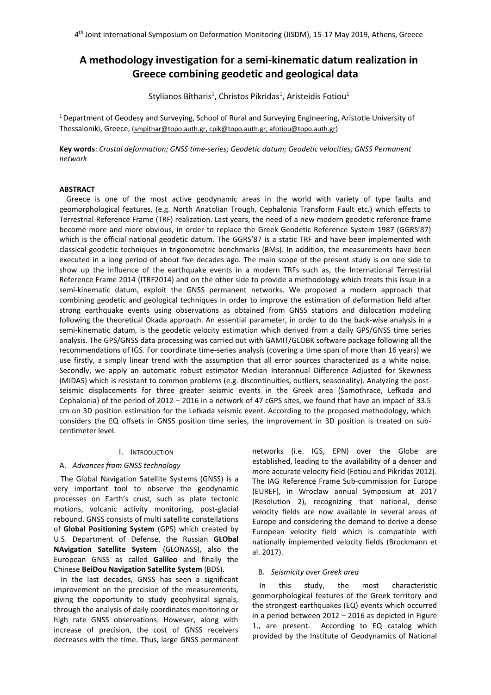# **A methodology investigation for a semi-kinematic datum realization in Greece combining geodetic and geological data**

Stylianos Bitharis<sup>1</sup>, Christos Pikridas<sup>1</sup>, Aristeidis Fotiou<sup>1</sup>

<sup>1</sup>Department of Geodesy and Surveying, School of Rural and Surveying Engineering, Aristotle University of Thessaloniki, Greece, (smpithar@topo.auth.gr, cpik@topo.auth.gr, afotiou@topo.auth.gr)

**Key words**: *Crustal deformation; GNSS time-series; Geodetic datum; Geodetic velocities; GNSS Permanent network*

#### **ABSTRACT**

Greece is one of the most active geodynamic areas in the world with variety of type faults and geomorphological features, (e.g. North Anatolian Trough, Cephalonia Transform Fault etc.) which effects to Terrestrial Reference Frame (TRF) realization. Last years, the need of a new modern geodetic reference frame become more and more obvious, in order to replace the Greek Geodetic Reference System 1987 (GGRS'87) which is the official national geodetic datum. The GGRS'87 is a static TRF and have been implemented with classical geodetic techniques in trigonometric benchmarks (BMs). In addition, the measurements have been executed in a long period of about five decades ago. The main scope of the present study is on one side to show up the influence of the earthquake events in a modern TRFs such as, the International Terrestrial Reference Frame 2014 (ITRF2014) and on the other side to provide a methodology which treats this issue in a semi-kinematic datum, exploit the GNSS permanent networks. We proposed a modern approach that combining geodetic and geological techniques in order to improve the estimation of deformation field after strong earthquake events using observations as obtained from GNSS stations and dislocation modeling following the theoretical Okada approach. An essential parameter, in order to do the back-wise analysis in a semi-kinematic datum, is the geodetic velocity estimation which derived from a daily GPS/GNSS time series analysis. The GPS/GNSS data processing was carried out with GAMIT/GLOBK software package following all the recommendations of IGS. For coordinate time-series analysis (covering a time span of more than 16 years) we use firstly, a simply linear trend with the assumption that all error sources characterized as a white noise. Secondly, we apply an automatic robust estimator Median Interannual Difference Adjusted for Skewness (MIDAS) which is resistant to common problems (e.g. discontinuities, outliers, seasonality). Analyzing the postseismic displacements for three greater seismic events in the Greek area (Samothrace, Lefkada and Cephalonia) of the period of 2012 – 2016 in a network of 47 cGPS sites, we found that have an impact of 33.5 cm on 3D position estimation for the Lefkada seismic event. According to the proposed methodology, which considers the EQ offsets in GNSS position time series, the improvement in 3D position is treated on subcentimeter level.

### I. INTRODUCTION

# A. *Advances from GNSS technology*

The Global Navigation Satellite Systems (GNSS) is a very important tool to observe the geodynamic processes on Earth's crust, such as plate tectonic motions, volcanic activity monitoring, post-glacial rebound. GNSS consists of multi satellite constellations of **Global Positioning System** (GPS) which created by U.S. Department of Defense, the Russian **GLObal NAvigation Satellite System** (GLONASS), also the European GNSS as called **Galileo** and finally the Chinese **BeiDou Navigation Satellite System** (BDS).

In the last decades, GNSS has seen a significant improvement on the precision of the measurements, giving the opportunity to study geophysical signals, through the analysis of daily coordinates monitoring or high rate GNSS observations. However, along with increase of precision, the cost of GNSS receivers decreases with the time. Thus, large GNSS permanent networks (i.e. IGS, EPN) over the Globe are established, leading to the availability of a denser and more accurate velocity field (Fotiou and Pikridas 2012). The IAG Reference Frame Sub-commission for Europe (EUREF), in Wroclaw annual Symposium at 2017 (Resolution 2), recognizing that national, dense velocity fields are now available in several areas of Europe and considering the demand to derive a dense European velocity field which is compatible with nationally implemented velocity fields (Brockmann et al. 2017).

#### B. *Seismicity over Greek area*

In this study, the most characteristic geomorphological features of the Greek territory and the strongest earthquakes (EQ) events which occurred in a period between 2012 – 2016 as depicted in Figure 1., are present. According to EQ catalog which provided by the Institute of Geodynamics of National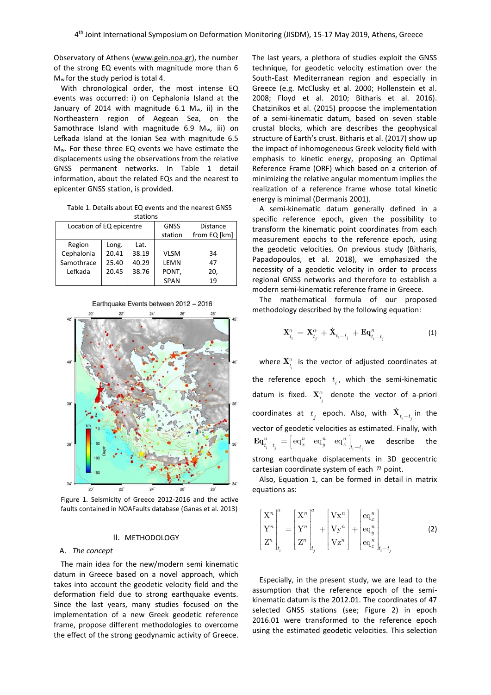Observatory of Athens [\(www.gein.noa.gr\)](http://www.gein.noa.gr/), the number of the strong EQ events with magnitude more than 6 Mw for the study period is total 4.

With chronological order, the most intense EQ events was occurred: i) on Cephalonia Island at the January of 2014 with magnitude  $6.1$  M<sub>w</sub>, ii) in the Northeastern region of Aegean Sea, on the Samothrace Island with magnitude 6.9 Mw, iii) on Lefkada Island at the Ionian Sea with magnitude 6.5 Mw. For these three EQ events we have estimate the displacements using the observations from the relative GNSS permanent networks. In Table 1 detail information, about the related EQs and the nearest to epicenter GNSS station, is provided.

Table 1. Details about EQ events and the nearest GNSS

| stations                 |       |       |             |              |  |
|--------------------------|-------|-------|-------------|--------------|--|
| Location of EQ epicentre |       |       | <b>GNSS</b> | Distance     |  |
|                          |       |       | station     | from EQ [km] |  |
| Region                   | Long. | Lat.  |             |              |  |
| Cephalonia               | 20.41 | 38.19 | <b>VLSM</b> | 34           |  |
| Samothrace               | 25.40 | 40.29 | LEMN        | 47           |  |
| Lefkada                  | 20.45 | 38.76 | PONT,       | 20,          |  |
|                          |       |       | <b>SPAN</b> | 19           |  |





Figure 1. Seismicity of Greece 2012-2016 and the active faults contained in NOAFaults database (Ganas et al. 2013)

## II. METHODOLOGY

#### A. *The concept*

The main idea for the new/modern semi kinematic datum in Greece based on a novel approach, which takes into account the geodetic velocity field and the deformation field due to strong earthquake events. Since the last years, many studies focused on the implementation of a new Greek geodetic reference frame, propose different methodologies to overcome the effect of the strong geodynamic activity of Greece.

The last years, a plethora of studies exploit the GNSS technique, for geodetic velocity estimation over the South-East Mediterranean region and especially in Greece (e.g. McClusky et al. 2000; Hollenstein et al. 2008; Floyd et al. 2010; Bitharis et al. 2016). Chatzinikos et al. (2015) propose the implementation of a semi-kinematic datum, based on seven stable crustal blocks, which are describes the geophysical structure of Earth's crust. Bitharis et al. (2017) show up the impact of inhomogeneous Greek velocity field with emphasis to kinetic energy, proposing an Optimal Reference Frame (ORF) which based on a criterion of minimizing the relative angular momentum implies the realization of a reference frame whose total kinetic energy is minimal (Dermanis 2001).

A semi-kinematic datum generally defined in a specific reference epoch, given the possibility to transform the kinematic point coordinates from each measurement epochs to the reference epoch, using the geodetic velocities. On previous study (Bitharis, Papadopoulos, et al. 2018), we emphasized the necessity of a geodetic velocity in order to process regional GNSS networks and therefore to establish a modern semi-kinematic reference frame in Greece.

The mathematical formula of our proposed methodology described by the following equation:

$$
\mathbf{X}_{t_i}^o = \mathbf{X}_{t_j}^\alpha + \dot{\mathbf{X}}_{t_i - t_j} + \mathbf{E}\mathbf{q}_{t_i - t_j}^n \tag{1}
$$

where  $\mathbf{X}_{t_i}^o$  is the vector of adjusted coordinates at the reference epoch  $t_i$ , which the semi-kinematic datum is fixed.  $\mathbf{X}^{\alpha}_{t_j}$  denote the vector of a-priori coordinates at  $t_j$  epoch. Also, with  $\mathbf{X}_{t_i-t_j}$  in the vector of geodetic velocities as estimated. Finally, with  $\begin{bmatrix} \mathbf{e}_i \ \mathbf{e}_i \ \mathbf{e}_i \end{bmatrix} = \begin{bmatrix} \mathbf{e}\mathbf{q}_x^n & \mathbf{e}\mathbf{q}_y^n & \mathbf{e}\mathbf{q}_z^n \ \mathbf{e}\mathbf{q}_y^n & \mathbf{e}\mathbf{q}_z^n \ \mathbf{e}\mathbf{q}_z^n & \mathbf{e}\mathbf{q}_z^n \end{bmatrix}_{t_i = t_i}$  $\mathbf{Eq}^n_{t_i-t_j} = \begin{bmatrix} \mathbf{eq}^n_x & \mathbf{eq}^n_y & \mathbf{eq}^n_z \end{bmatrix}_{t_i-t_j}$  we describe the strong earthquake displacements in 3D geocentric cartesian coordinate system of each *n* point.

Also, Equation 1, can be formed in detail in matrix equations as:

$$
\begin{bmatrix} \mathbf{X}^n \\ \mathbf{Y}^n \\ \mathbf{Z}^n \end{bmatrix}_{t_i}^{\circ} = \begin{bmatrix} \mathbf{X}^n \\ \mathbf{Y}^n \\ \mathbf{Z}^n \end{bmatrix}_{t_j}^{\circ} + \begin{bmatrix} \mathbf{V} \mathbf{x}^n \\ \mathbf{V} \mathbf{y}^n \\ \mathbf{V} \mathbf{z}^n \end{bmatrix} + \begin{bmatrix} \mathbf{e} \mathbf{q}_x^n \\ \mathbf{e} \mathbf{q}_y^n \\ \mathbf{e} \mathbf{q}_z^n \end{bmatrix}_{t_i - t_j}
$$
(2)

Especially, in the present study, we are lead to the assumption that the reference epoch of the semikinematic datum is the 2012.01. The coordinates of 47 selected GNSS stations (see; Figure 2) in epoch 2016.01 were transformed to the reference epoch using the estimated geodetic velocities. This selection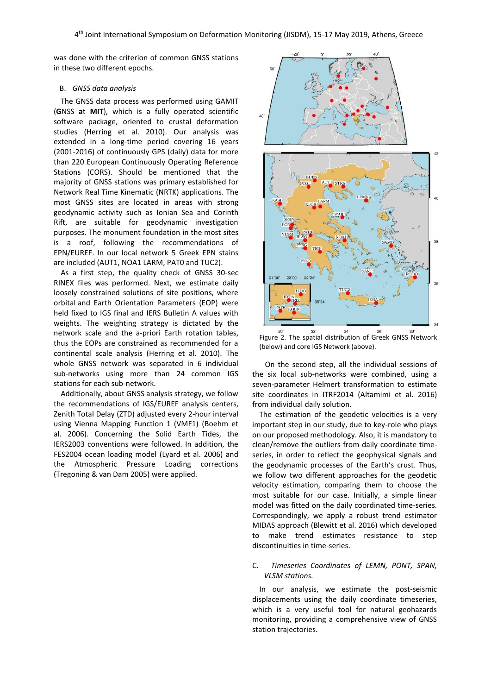was done with the criterion of common GNSS stations in these two different epochs.

### B. *GNSS data analysis*

The GNSS data process was performed using GAMIT (**G**NSS **a**t **MIT**), which is a fully operated scientific software package, oriented to crustal deformation studies (Herring et al. 2010). Our analysis was extended in a long-time period covering 16 years (2001-2016) of continuously GPS (daily) data for more than 220 European Continuously Operating Reference Stations (CORS). Should be mentioned that the majority of GNSS stations was primary established for Network Real Time Kinematic (NRTK) applications. The most GNSS sites are located in areas with strong geodynamic activity such as Ionian Sea and Corinth Rift, are suitable for geodynamic investigation purposes. The monument foundation in the most sites is a roof, following the recommendations of EPN/EUREF. In our local network 5 Greek EPN stains are included (AUT1, NOA1 LARM, PAT0 and TUC2).

As a first step, the quality check of GNSS 30-sec RINEX files was performed. Next, we estimate daily loosely constrained solutions of site positions, where orbital and Earth Orientation Parameters (EOP) were held fixed to IGS final and IERS Bulletin A values with weights. The weighting strategy is dictated by the network scale and the a-priori Earth rotation tables, thus the EOPs are constrained as recommended for a continental scale analysis (Herring et al. 2010). The whole GNSS network was separated in 6 individual sub-networks using more than 24 common IGS stations for each sub-network.

Additionally, about GNSS analysis strategy, we follow the recommendations of IGS/EUREF analysis centers, Zenith Total Delay (ZTD) adjusted every 2-hour interval using Vienna Mapping Function 1 (VMF1) (Boehm et al. 2006). Concerning the Solid Earth Tides, the IERS2003 conventions were followed. In addition, the FES2004 ocean loading model (Lyard et al. 2006) and the Atmospheric Pressure Loading corrections (Tregoning & van Dam 2005) were applied.



Figure 2. The spatial distribution of Greek GNSS Network (below) and core IGS Network (above).

 On the second step, all the individual sessions of the six local sub-networks were combined, using a seven-parameter Helmert transformation to estimate site coordinates in ITRF2014 (Altamimi et al. 2016) from individual daily solution.

The estimation of the geodetic velocities is a very important step in our study, due to key-role who plays on our proposed methodology. Also, it is mandatory to clean/remove the outliers from daily coordinate timeseries, in order to reflect the geophysical signals and the geodynamic processes of the Earth's crust. Thus, we follow two different approaches for the geodetic velocity estimation, comparing them to choose the most suitable for our case. Initially, a simple linear model was fitted on the daily coordinated time-series. Correspondingly, we apply a robust trend estimator MIDAS approach (Blewitt et al. 2016) which developed to make trend estimates resistance to step discontinuities in time-series.

## C. *Timeseries Coordinates of LEMN, PONT, SPAN, VLSM stations.*

In our analysis, we estimate the post-seismic displacements using the daily coordinate timeseries, which is a very useful tool for natural geohazards monitoring, providing a comprehensive view of GNSS station trajectories.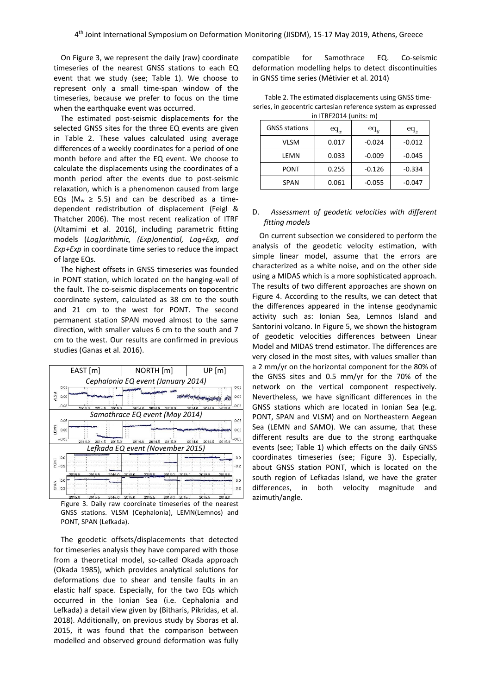On Figure 3, we represent the daily (raw) coordinate timeseries of the nearest GNSS stations to each EQ event that we study (see; Table 1). We choose to represent only a small time-span window of the timeseries, because we prefer to focus on the time when the earthquake event was occurred.

The estimated post-seismic displacements for the selected GNSS sites for the three EQ events are given in Table 2. These values calculated using average differences of a weekly coordinates for a period of one month before and after the EQ event. We choose to calculate the displacements using the coordinates of a month period after the events due to post-seismic relaxation, which is a phenomenon caused from large EQs ( $M_w \ge 5.5$ ) and can be described as a timedependent redistribution of displacement (Feigl & Thatcher 2006). The most recent realization of ITRF (Altamimi et al. 2016), including parametric fitting models (*Log)arithmic, (Exp)onential, Log+Exp, and Exp+Exp* in coordinate time series to reduce the impact of large EQs.

The highest offsets in GNSS timeseries was founded in PONT station, which located on the hanging-wall of the fault. The co-seismic displacements on topocentric coordinate system, calculated as 38 cm to the south and 21 cm to the west for PONT. The second permanent station SPAN moved almost to the same direction, with smaller values 6 cm to the south and 7 cm to the west. Our results are confirmed in previous studies (Ganas et al. 2016).



Figure 3. Daily raw coordinate timeseries of the nearest GNSS stations. VLSM (Cephalonia), LEMN(Lemnos) and PONT, SPAN (Lefkada).

The geodetic offsets/displacements that detected for timeseries analysis they have compared with those from a theoretical model, so-called Okada approach (Okada 1985), which provides analytical solutions for deformations due to shear and tensile faults in an elastic half space. Especially, for the two EQs which occurred in the Ionian Sea (i.e. Cephalonia and Lefkada) a detail view given by (Bitharis, Pikridas, et al. 2018). Additionally, on previous study by Sboras et al. 2015, it was found that the comparison between modelled and observed ground deformation was fully

compatible for Samothrace EQ. Co-seismic deformation modelling helps to detect discontinuities in GNSS time series (Métivier et al. 2014)

| Table 2. The estimated displacements using GNSS time-         |
|---------------------------------------------------------------|
| series, in geocentric cartesian reference system as expressed |
| in ITRF2014 (units: $m$ )                                     |

| <b>GNSS stations</b> | $\operatorname{eq}_x$ | $eq_u$   | $\operatorname{eq}_z$ |
|----------------------|-----------------------|----------|-----------------------|
| VLSM                 | 0.017                 | $-0.024$ | $-0.012$              |
| LEMN                 | 0.033                 | $-0.009$ | $-0.045$              |
| PONT                 | 0.255                 | $-0.126$ | $-0.334$              |
| SPAN                 | 0.061                 | $-0.055$ | $-0.047$              |

# D. *Assessment of geodetic velocities with different fitting models*

On current subsection we considered to perform the analysis of the geodetic velocity estimation, with simple linear model, assume that the errors are characterized as a white noise, and on the other side using a MIDAS which is a more sophisticated approach. The results of two different approaches are shown on Figure 4. According to the results, we can detect that the differences appeared in the intense geodynamic activity such as: Ionian Sea, Lemnos Island and Santorini volcano. In Figure 5, we shown the histogram of geodetic velocities differences between Linear Model and MIDAS trend estimator. The differences are very closed in the most sites, with values smaller than a 2 mm/yr on the horizontal component for the 80% of the GNSS sites and 0.5 mm/yr for the 70% of the network on the vertical component respectively. Nevertheless, we have significant differences in the GNSS stations which are located in Ionian Sea (e.g. PONT, SPAN and VLSM) and on Northeastern Aegean Sea (LEMN and SAMO). We can assume, that these different results are due to the strong earthquake events (see; Table 1) which effects on the daily GNSS coordinates timeseries (see; Figure 3). Especially, about GNSS station PONT, which is located on the south region of Lefkadas Island, we have the grater differences, in both velocity magnitude and azimuth/angle.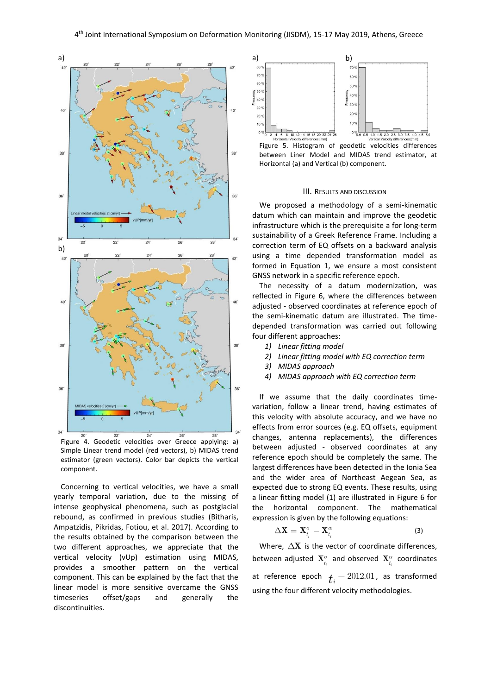

Figure 4. Geodetic velocities over Greece applying: a) Simple Linear trend model (red vectors), b) MIDAS trend estimator (green vectors). Color bar depicts the vertical component.

Concerning to vertical velocities, we have a small yearly temporal variation, due to the missing of intense geophysical phenomena, such as postglacial rebound, as confirmed in previous studies (Bitharis, Ampatzidis, Pikridas, Fotiou, et al. 2017). According to the results obtained by the comparison between the two different approaches, we appreciate that the vertical velocity (vUp) estimation using MIDAS, provides a smoother pattern on the vertical component. This can be explained by the fact that the linear model is more sensitive overcame the GNSS timeseries offset/gaps and generally the discontinuities.





#### III. RESULTS AND DISCUSSION

We proposed a methodology of a semi-kinematic datum which can maintain and improve the geodetic infrastructure which is the prerequisite a for long-term sustainability of a Greek Reference Frame. Including a correction term of EQ offsets on a backward analysis using a time depended transformation model as formed in Equation 1, we ensure a most consistent GNSS network in a specific reference epoch.

The necessity of a datum modernization, was reflected in Figure 6, where the differences between adjusted - observed coordinates at reference epoch of the semi-kinematic datum are illustrated. The timedepended transformation was carried out following four different approaches:

- *1) Linear fitting model*
- *2) Linear fitting model with EQ correction term*
- *3) MIDAS approach*
- *4) MIDAS approach with EQ correction term*

If we assume that the daily coordinates timevariation, follow a linear trend, having estimates of this velocity with absolute accuracy, and we have no effects from error sources (e.g. EQ offsets, equipment changes, antenna replacements), the differences between adjusted - observed coordinates at any reference epoch should be completely the same. The largest differences have been detected in the Ionia Sea and the wider area of Northeast Aegean Sea, as expected due to strong EQ events. These results, using a linear fitting model (1) are illustrated in Figure 6 for the horizontal component. The mathematical expression is given by the following equations:

$$
\Delta \mathbf{X} = \mathbf{X}_{t_i}^o - \mathbf{X}_{t_i}^\alpha \tag{3}
$$

Where,  $\Delta X$  is the vector of coordinate differences, between adjusted  $\mathbf{X}_{t_i}^o$  and observed  $\mathbf{X}_{t_i}^{\alpha}$  coordinates at reference epoch  $t_i = 2012.01$ , as transformed using the four different velocity methodologies.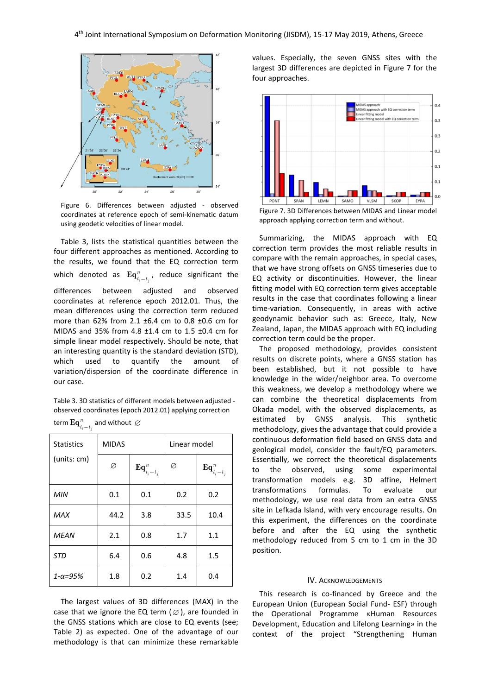

Figure 6. Differences between adjusted - observed coordinates at reference epoch of semi-kinematic datum using geodetic velocities of linear model.

Table 3, lists the statistical quantities between the four different approaches as mentioned. According to the results, we found that the EQ correction term which denoted as  $\mathbf{Eq}^n_{t_i-t_j}$ *n*  $\mathbf{Eq}^n_{t_i-t_i}$ , reduce significant the differences between adjusted and observed coordinates at reference epoch 2012.01. Thus, the mean differences using the correction term reduced more than 62% from 2.1 ±6.4 cm to 0.8 ±0.6 cm for MIDAS and 35% from 4.8 ±1.4 cm to 1.5 ±0.4 cm for simple linear model respectively. Should be note, that an interesting quantity is the standard deviation (STD), which used to quantify the amount of variation/dispersion of the coordinate difference in our case.

Table 3. 3D statistics of different models between adjusted observed coordinates (epoch 2012.01) applying correction

| <b>Statistics</b>   | <b>MIDAS</b> |                           | Linear model |                           |  |
|---------------------|--------------|---------------------------|--------------|---------------------------|--|
| (units: cm)         | Ø            | $\mathbf{Eq}^n_{t_i-t_j}$ | Ø            | $\mathbf{Eq}^n_{t_i-t_j}$ |  |
| <b>MIN</b>          | 0.1          | 0.1                       | 0.2          | 0.2                       |  |
| <b>MAX</b>          | 44.2         | 3.8                       | 33.5         | 10.4                      |  |
| <b>MEAN</b>         | 2.1          | 0.8                       | 1.7          | 1.1                       |  |
| STD                 | 6.4          | 0.6                       | 4.8          | 1.5                       |  |
| $1 - \alpha = 95\%$ | 1.8          | 0.2                       | 1.4          | 0.4                       |  |

| term $\mathbf{Eq}^n_{t_i-t_j}$ and without $\varnothing$ |  |  |
|----------------------------------------------------------|--|--|
|                                                          |  |  |

The largest values of 3D differences (MAX) in the case that we ignore the EQ term ( $\varnothing$ ), are founded in the GNSS stations which are close to EQ events (see; Table 2) as expected. One of the advantage of our methodology is that can minimize these remarkable

values. Especially, the seven GNSS sites with the largest 3D differences are depicted in Figure 7 for the four approaches.



Figure 7. 3D Differences between MIDAS and Linear model approach applying correction term and without.

Summarizing, the MIDAS approach with EQ correction term provides the most reliable results in compare with the remain approaches, in special cases, that we have strong offsets on GNSS timeseries due to EQ activity or discontinuities. However, the linear fitting model with EQ correction term gives acceptable results in the case that coordinates following a linear time-variation. Consequently, in areas with active geodynamic behavior such as: Greece, Italy, New Zealand, Japan, the MIDAS approach with EQ including correction term could be the proper.

The proposed methodology, provides consistent results on discrete points, where a GNSS station has been established, but it not possible to have knowledge in the wider/neighbor area. To overcome this weakness, we develop a methodology where we can combine the theoretical displacements from Okada model, with the observed displacements, as estimated by GNSS analysis. This synthetic methodology, gives the advantage that could provide a continuous deformation field based on GNSS data and geological model, consider the fault/EQ parameters. Essentially, we correct the theoretical displacements to the observed, using some experimental transformation models e.g. 3D affine, Helmert transformations formulas. To evaluate our methodology, we use real data from an extra GNSS site in Lefkada Island, with very encourage results. On this experiment, the differences on the coordinate before and after the EQ using the synthetic methodology reduced from 5 cm to 1 cm in the 3D position.

#### IV. ACKNOWLEDGEMENTS

This research is co-financed by Greece and the European Union (European Social Fund- ESF) through the Operational Programme «Human Resources Development, Education and Lifelong Learning» in the context of the project "Strengthening Human